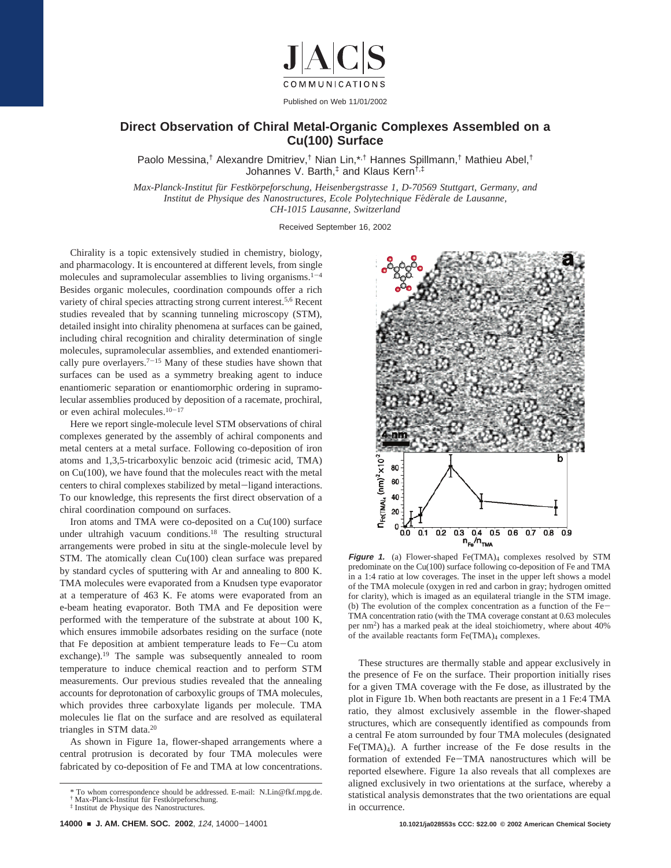

## **Direct Observation of Chiral Metal-Organic Complexes Assembled on a Cu(100) Surface**

Paolo Messina,† Alexandre Dmitriev,† Nian Lin,\*,† Hannes Spillmann,† Mathieu Abel,† Johannes V. Barth,‡ and Klaus Kern†,‡

*Max-Planck-Institut fu*¨*r Festko*¨*rpeforschung, Heisenbergstrasse 1, D-70569 Stuttgart, Germany, and Institut de Physique des Nanostructures, Ecole Polytechnique Fédérale de Lausanne, CH-1015 Lausanne, Switzerland*

Received September 16, 2002

Chirality is a topic extensively studied in chemistry, biology, and pharmacology. It is encountered at different levels, from single molecules and supramolecular assemblies to living organisms. $1-4$ Besides organic molecules, coordination compounds offer a rich variety of chiral species attracting strong current interest.<sup>5,6</sup> Recent studies revealed that by scanning tunneling microscopy (STM), detailed insight into chirality phenomena at surfaces can be gained, including chiral recognition and chirality determination of single molecules, supramolecular assemblies, and extended enantiomerically pure overlayers.<sup> $7-15$ </sup> Many of these studies have shown that surfaces can be used as a symmetry breaking agent to induce enantiomeric separation or enantiomorphic ordering in supramolecular assemblies produced by deposition of a racemate, prochiral, or even achiral molecules.<sup>10-17</sup>

Here we report single-molecule level STM observations of chiral complexes generated by the assembly of achiral components and metal centers at a metal surface. Following co-deposition of iron atoms and 1,3,5-tricarboxylic benzoic acid (trimesic acid, TMA) on Cu(100), we have found that the molecules react with the metal centers to chiral complexes stabilized by metal-ligand interactions. To our knowledge, this represents the first direct observation of a chiral coordination compound on surfaces.

Iron atoms and TMA were co-deposited on a Cu(100) surface under ultrahigh vacuum conditions.<sup>18</sup> The resulting structural arrangements were probed in situ at the single-molecule level by STM. The atomically clean Cu(100) clean surface was prepared by standard cycles of sputtering with Ar and annealing to 800 K. TMA molecules were evaporated from a Knudsen type evaporator at a temperature of 463 K. Fe atoms were evaporated from an e-beam heating evaporator. Both TMA and Fe deposition were performed with the temperature of the substrate at about 100 K, which ensures immobile adsorbates residing on the surface (note that Fe deposition at ambient temperature leads to Fe-Cu atom exchange).19 The sample was subsequently annealed to room temperature to induce chemical reaction and to perform STM measurements. Our previous studies revealed that the annealing accounts for deprotonation of carboxylic groups of TMA molecules, which provides three carboxylate ligands per molecule. TMA molecules lie flat on the surface and are resolved as equilateral triangles in STM data.20

As shown in Figure 1a, flower-shaped arrangements where a central protrusion is decorated by four TMA molecules were fabricated by co-deposition of Fe and TMA at low concentrations.



**Figure 1.** (a) Flower-shaped Fe(TMA)<sub>4</sub> complexes resolved by STM predominate on the Cu(100) surface following co-deposition of Fe and TMA in a 1:4 ratio at low coverages. The inset in the upper left shows a model of the TMA molecule (oxygen in red and carbon in gray; hydrogen omitted for clarity), which is imaged as an equilateral triangle in the STM image. (b) The evolution of the complex concentration as a function of the Fe-TMA concentration ratio (with the TMA coverage constant at 0.63 molecules per nm2) has a marked peak at the ideal stoichiometry, where about 40% of the available reactants form Fe(TMA)<sub>4</sub> complexes.

These structures are thermally stable and appear exclusively in the presence of Fe on the surface. Their proportion initially rises for a given TMA coverage with the Fe dose, as illustrated by the plot in Figure 1b. When both reactants are present in a 1 Fe:4 TMA ratio, they almost exclusively assemble in the flower-shaped structures, which are consequently identified as compounds from a central Fe atom surrounded by four TMA molecules (designated Fe(TMA)4). A further increase of the Fe dose results in the formation of extended Fe-TMA nanostructures which will be reported elsewhere. Figure 1a also reveals that all complexes are aligned exclusively in two orientations at the surface, whereby a statistical analysis demonstrates that the two orientations are equal in occurrence.

<sup>\*</sup> To whom correspondence should be addressed. E-mail: N.Lin@fkf.mpg.de. † Max-Planck-Institut für Festkörpeforschung.<br>‡ Institut de Physique des Nanostructures.